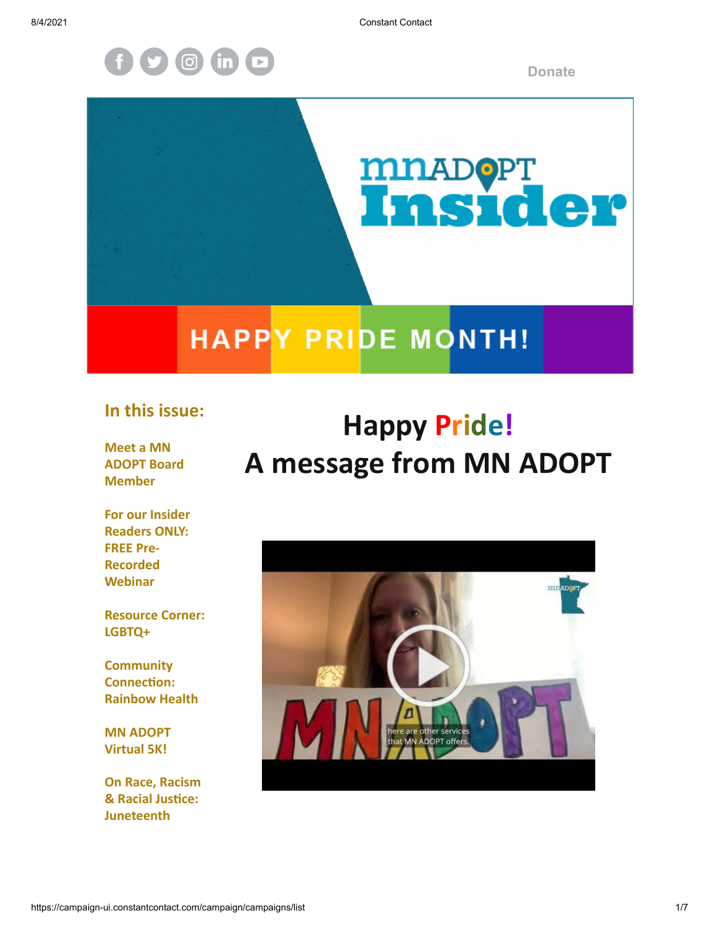

**[Donate](https://donatenow.networkforgood.org/mnadopt)**

# **MILADOPT**<br>LIAS LOLOT<sup>O</sup>

## **HAPPY PRIDE MONTH!**

#### **In this issue:**

**Meet a MN ADOPT Board Member**

**For our Insider Readers ONLY: FREE Pre-Recorded Webinar**

**Resource Corner: LGBTQ+**

**Community Connection: Rainbow Health**

**MN ADOPT Virtual 5K!**

**On Race, Racism & Racial Justice: Juneteenth**

## **Happy Pride! A message from MN ADOPT**

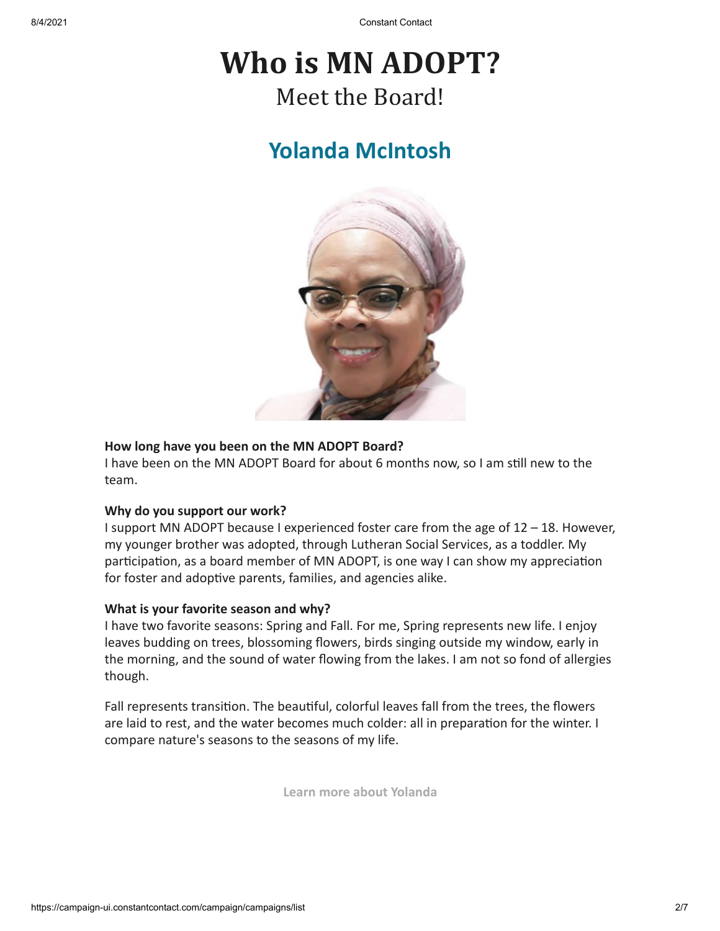## **Who is MN ADOPT?** Meet the Board!

#### **Yolanda McIntosh**



#### **How long have you been on the MN ADOPT Board?**

I have been on the MN ADOPT Board for about 6 months now, so I am still new to the team.

#### **Why do you support our work?**

I support MN ADOPT because I experienced foster care from the age of 12 – 18. However, my younger brother was adopted, through Lutheran Social Services, as a toddler. My participation, as a board member of MN ADOPT, is one way I can show my appreciation for foster and adoptive parents, families, and agencies alike.

#### **What is your favorite season and why?**

I have two favorite seasons: Spring and Fall. For me, Spring represents new life. I enjoy leaves budding on trees, blossoming flowers, birds singing outside my window, early in the morning, and the sound of water flowing from the lakes. I am not so fond of allergies though.

Fall represents transition. The beautiful, colorful leaves fall from the trees, the flowers are laid to rest, and the water becomes much colder: all in preparation for the winter. I compare nature's seasons to the seasons of my life.

**[Learn more about Yolanda](https://www.mnadopt.org/about/board/)**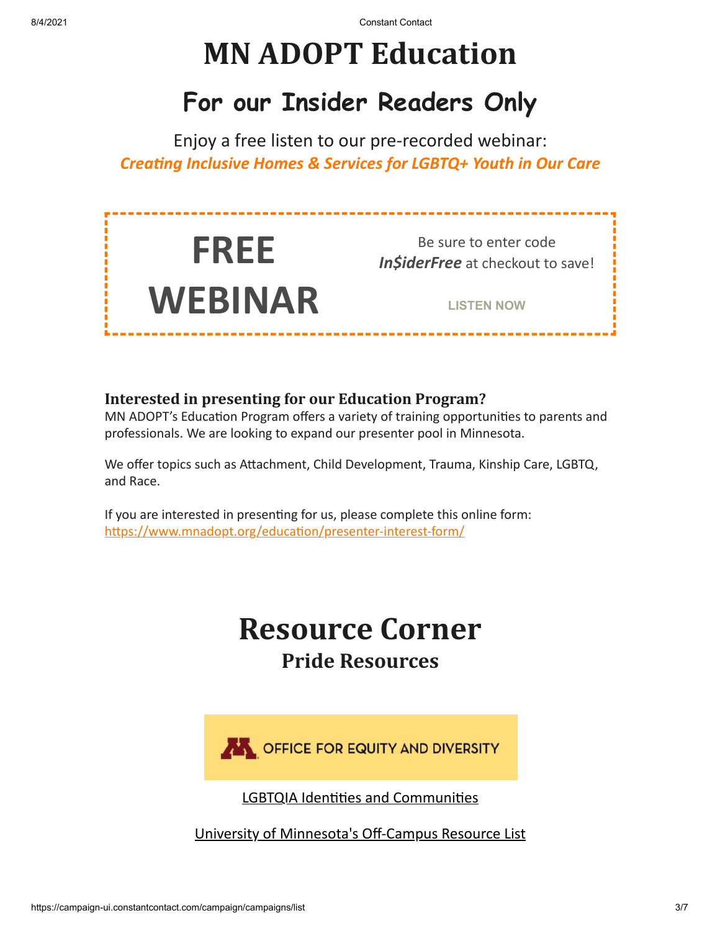## **MN ADOPT Education**

## **For our Insider Readers Only**

Enjoy a free listen to our pre-recorded webinar: *Creating Inclusive Homes & Services for LGBTQ+ Youth in Our Care*



#### **Interested in presenting for our Education Program?**

MN ADOPT's Education Program offers a variety of training opportunities to parents and professionals. We are looking to expand our presenter pool in Minnesota.

We offer topics such as Attachment, Child Development, Trauma, Kinship Care, LGBTQ, and Race.

If you are interested in presenting for us, please complete this online form: <https://www.mnadopt.org/education/presenter-interest-form/>

## **Resource Corner Pride Resources**



[LGBTQIA Identities and Communities](https://docs.google.com/document/d/1d2juyUw1MWjqbZQKe4bZt1SRl_tRoXvCRuKYRbesG-8/edit#heading=h.v1f56h1mssww)

[University of Minnesota's Off-Campus Resource List](https://docs.google.com/document/d/1GC_4LnBfB-8mkjGa4IXaERuAmV831sPBZUTUaG0tjHo/edit)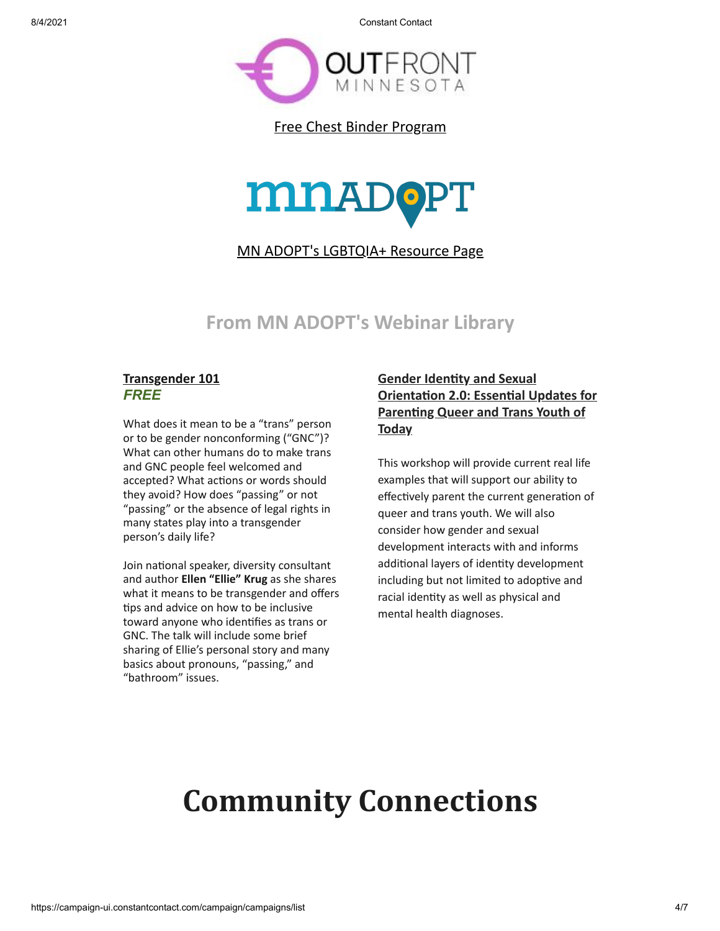8/4/2021 Constant Contact



[Free Chest Binder Program](https://www.outfront.org/free-chest-binder-programs-0)



[MN ADOPT's LGBTQIA+ Resource Page](https://www.mnadopt.org/resources/lgbtq/)

#### **From MN ADOPT's Webinar Library**

#### **[Transgender 101](https://www.mnadopt.org/product/20210310-webinar-transgender-101/)** *FREE*

What does it mean to be a "trans" person or to be gender nonconforming ("GNC")? What can other humans do to make trans and GNC people feel welcomed and accepted? What actions or words should they avoid? How does "passing" or not "passing" or the absence of legal rights in many states play into a transgender person's daily life?

Join national speaker, diversity consultant and author **Ellen "Ellie" Krug** as she shares what it means to be transgender and offers tips and advice on how to be inclusive toward anyone who identifies as trans or GNC. The talk will include some brief sharing of Ellie's personal story and many basics about pronouns, "passing," and "bathroom" issues.

#### **Gender Identity and Sexual [Orientation 2.0: Essential Updates for](https://www.mnadopt.org/product/20180613-webinar-gender-identity-and-sexual-orientation-2-0/) Parenting Queer and Trans Youth of Today**

This workshop will provide current real life examples that will support our ability to effectively parent the current generation of queer and trans youth. We will also consider how gender and sexual development interacts with and informs additional layers of identity development including but not limited to adoptive and racial identity as well as physical and mental health diagnoses.

## **Community Connections**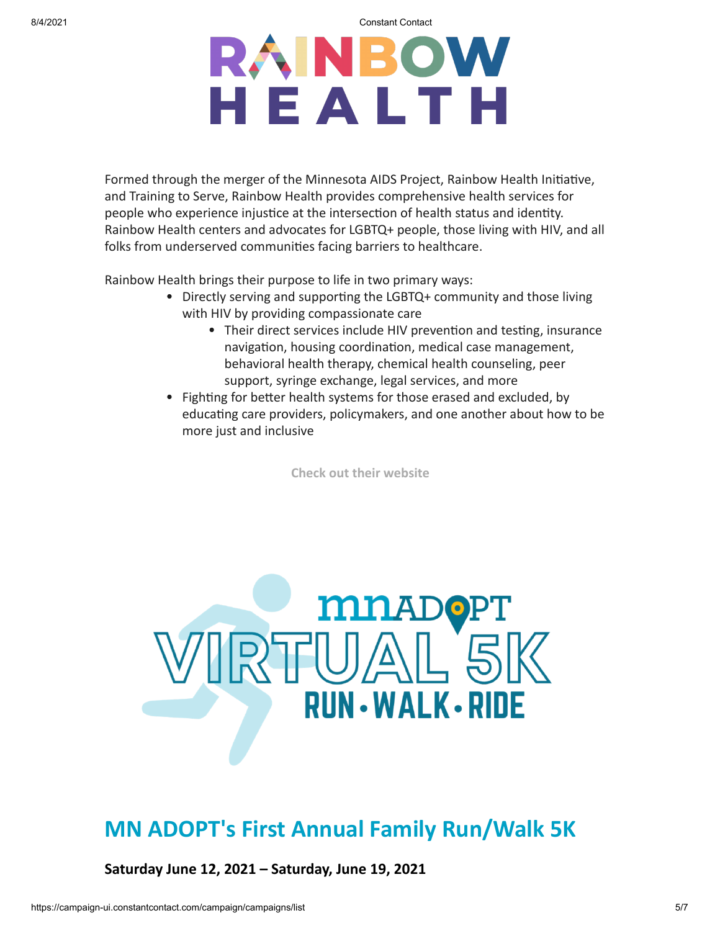8/4/2021 Constant Contact

## RAINBOW HEALTH

Formed through the merger of the Minnesota AIDS Project, Rainbow Health Initiative, and Training to Serve, Rainbow Health provides comprehensive health services for people who experience injustice at the intersection of health status and identity. Rainbow Health centers and advocates for LGBTQ+ people, those living with HIV, and all folks from underserved communities facing barriers to healthcare.

Rainbow Health brings their purpose to life in two primary ways:

- Directly serving and supporting the LGBTQ+ community and those living with HIV by providing compassionate care
	- Their direct services include HIV prevention and testing, insurance navigation, housing coordination, medical case management, behavioral health therapy, chemical health counseling, peer support, syringe exchange, legal services, and more
- Fighting for better health systems for those erased and excluded, by educating care providers, policymakers, and one another about how to be more just and inclusive

**[Check out their website](https://www.justushealth.org/)**



#### **MN ADOPT's First Annual Family Run/Walk 5K**

**Saturday June 12, 2021 – Saturday, June 19, 2021**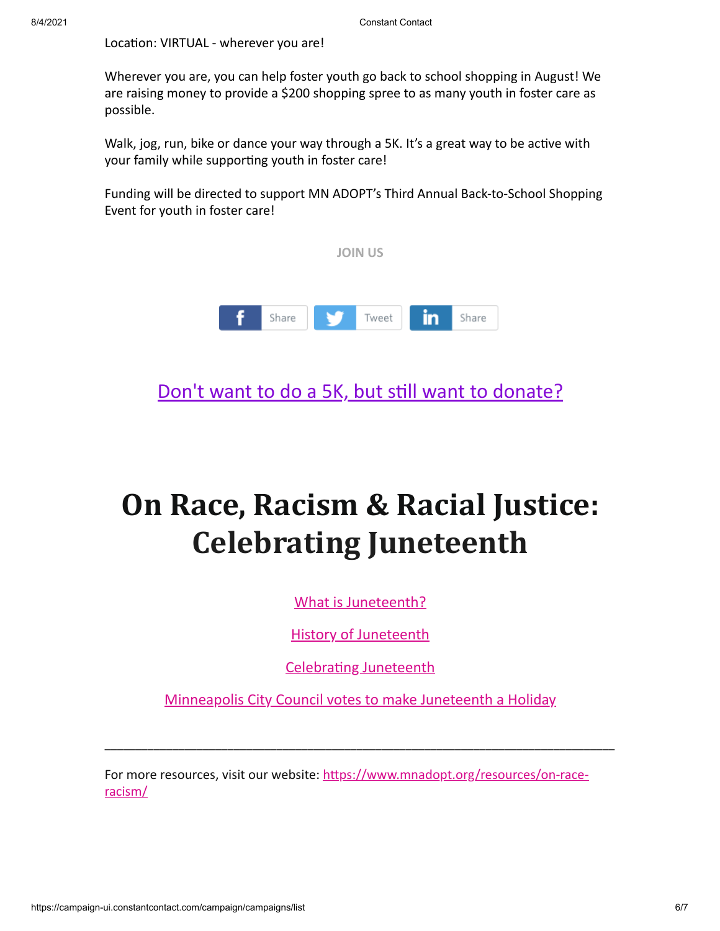Location: VIRTUAL - wherever you are!

Wherever you are, you can help foster youth go back to school shopping in August! We are raising money to provide a \$200 shopping spree to as many youth in foster care as possible.

Walk, jog, run, bike or dance your way through a 5K. It's a great way to be active with your family while supporting youth in foster care!

Funding will be directed to support MN ADOPT's Third Annual Back-to-School Shopping Event for youth in foster care!



[Don't want to do a 5K, but still want to donate?](https://mnadopt.networkforgood.com/projects/119185-back-to-school-shopping-for-foster-kids-2021)

## **On Race, Racism & Racial Justice: Celebrating Juneteenth**

[What is Juneteenth?](https://juneteenth.com/)

[History of Juneteenth](https://www.oprahdaily.com/life/a32893726/what-is-juneteenth/)

[Celebrating Juneteenth](https://www.minneapolisparks.org/activities__events/events/juneteenth/)

[Minneapolis City Council votes to make Juneteenth a Holiday](https://www.kare11.com/article/news/local/minneapolis-city-council-votes-to-make-juneteenth-a-holiday/89-5afcab72-d862-4973-a038-b787eb0614e4)

\_\_\_\_\_\_\_\_\_\_\_\_\_\_\_\_\_\_\_\_\_\_\_\_\_\_\_\_\_\_\_\_\_\_\_\_\_\_\_\_\_\_\_\_\_\_\_\_\_\_\_\_\_\_\_\_\_\_\_\_\_\_\_\_\_\_\_\_\_\_\_\_\_\_\_\_\_\_\_\_\_\_\_

For more resources, visit our website: [https://www.mnadopt.org/resources/on-race](https://www.mnadopt.org/resources/on-race-racism/)racism/